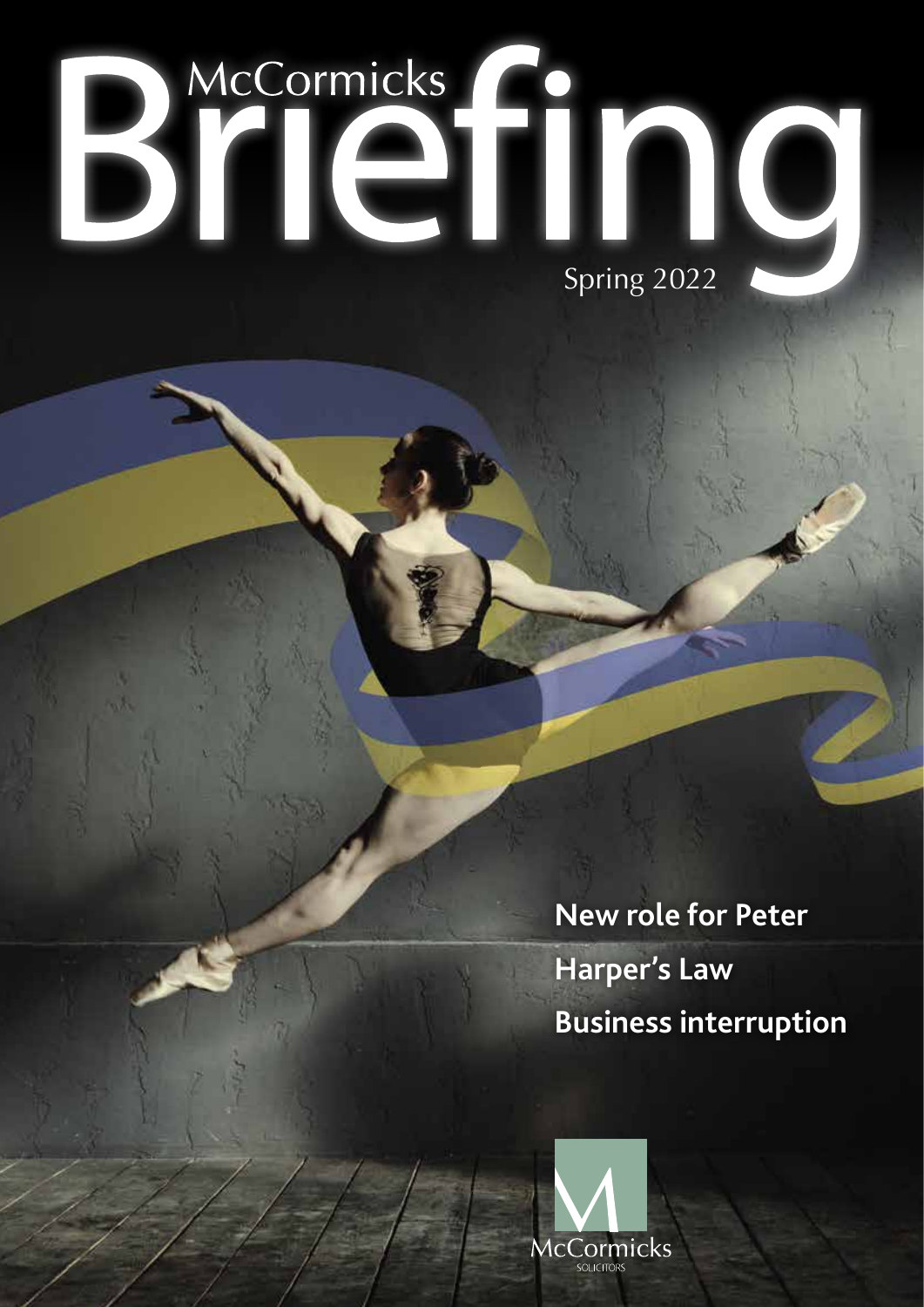# Bilen Spring 2022

**New role for Peter Harper's Law Business interruption** 

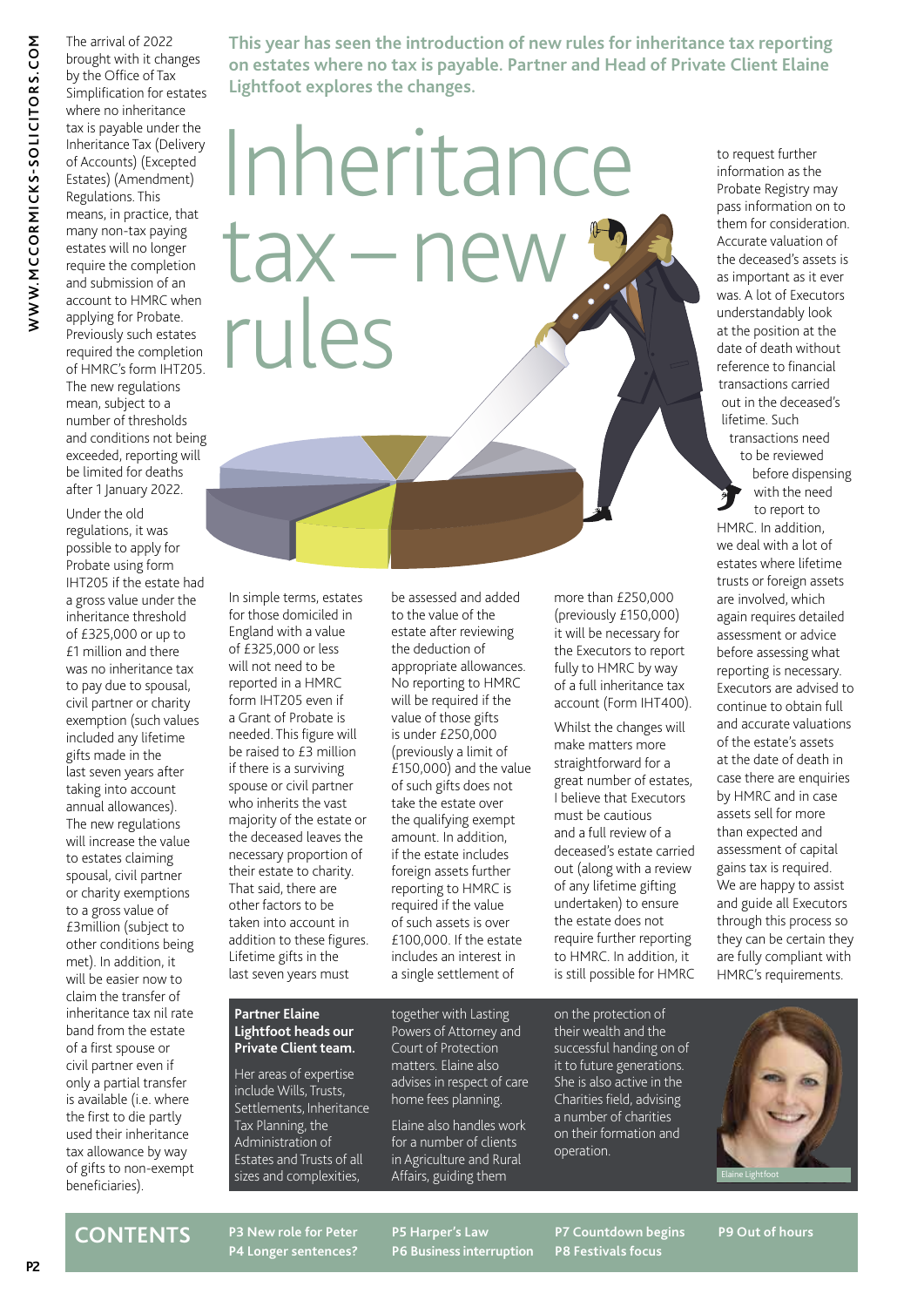The arrival of 2022 brought with it changes by the Office of Tax Simplification for estates where no inheritance tax is payable under the Inheritance Tax (Delivery of Accounts) (Excepted Estates) (Amendment) Regulations. This means, in practice, that many non-tax paying estates will no longer require the completion and submission of an account to HMRC when applying for Probate. Previously such estates required the completion of HMRC's form IHT205. The new regulations mean, subject to a number of thresholds

and conditions not being exceeded, reporting will be limited for deaths after 1 January 2022.

Under the old regulations, it was possible to apply for Probate using form IHT205 if the estate had a gross value under the inheritance threshold of £325,000 or up to £1 million and there was no inheritance tax to pay due to spousal, civil partner or charity exemption (such values included any lifetime gifts made in the last seven years after taking into account annual allowances). The new regulations will increase the value to estates claiming spousal, civil partner or charity exemptions to a gross value of £3million (subject to other conditions being met). In addition, it will be easier now to claim the transfer of inheritance tax nil rate band from the estate of a first spouse or civil partner even if only a partial transfer is available (i.e. where the first to die partly used their inheritance tax allowance by way of gifts to non-exempt beneficiaries).

**This year has seen the introduction of new rules for inheritance tax reporting on estates where no tax is payable. Partner and Head of Private Client Elaine Lightfoot explores the changes.**

# Inheritance tax – new rules

In simple terms, estates for those domiciled in England with a value of £325,000 or less will not need to be reported in a HMRC form IHT205 even if a Grant of Probate is needed. This figure will be raised to £3 million if there is a surviving spouse or civil partner who inherits the vast majority of the estate or the deceased leaves the necessary proportion of their estate to charity. That said, there are other factors to be taken into account in addition to these figures. Lifetime gifts in the last seven years must

be assessed and added to the value of the estate after reviewing the deduction of appropriate allowances. No reporting to HMRC will be required if the value of those gifts is under £250,000 (previously a limit of  $E$ 150,000) and the value of such gifts does not take the estate over the qualifying exempt amount. In addition, if the estate includes foreign assets further reporting to HMRC is required if the value of such assets is over £100,000. If the estate includes an interest in a single settlement of

more than £250,000 (previously £150,000) it will be necessary for the Executors to report fully to HMRC by way of a full inheritance tax account (Form IHT400).

Whilst the changes will make matters more straightforward for a great number of estates, I believe that Executors must be cautious and a full review of a deceased's estate carried out (along with a review of any lifetime gifting undertaken) to ensure the estate does not require further reporting to HMRC. In addition, it is still possible for HMRC

was. A lot of Executors understandably look at the position at the date of death without reference to financial transactions carried out in the deceased's lifetime. Such transactions need to be reviewed before dispensing with the need to report to HMRC. In addition, we deal with a lot of estates where lifetime trusts or foreign assets are involved, which again requires detailed assessment or advice before assessing what reporting is necessary. continue to obtain full of the estate's assets at the date of death in

to request further information as the Probate Registry may pass information on to them for consideration. Accurate valuation of the deceased's assets is as important as it ever

Executors are advised to and accurate valuations case there are enquiries by HMRC and in case assets sell for more than expected and assessment of capital gains tax is required. We are happy to assist and guide all Executors through this process so they can be certain they are fully compliant with HMRC's requirements.

### **Partner Elaine Lightfoot heads our Private Client team.**

Her areas of expertise include Wills, Trusts, Settlements, Inheritance Tax Planning, the Administration of Estates and Trusts of all sizes and complexities,

together with Lasting Powers of Attorney and Court of Protection matters. Elaine also advises in respect of care home fees planning.

Elaine also handles work for a number of clients in Agriculture and Rural Affairs, guiding them

on the protection of their wealth and the successful handing on of it to future generations. She is also active in the Charities field, advising a number of charities on their formation and operation.



### **CONTENTS**

**P3 New role for Peter P4 Longer sentences?** **P5 Harper's Law P6 Business interruption**

**P7 Countdown begins P8 Festivals focus**

**P9 Out of hours**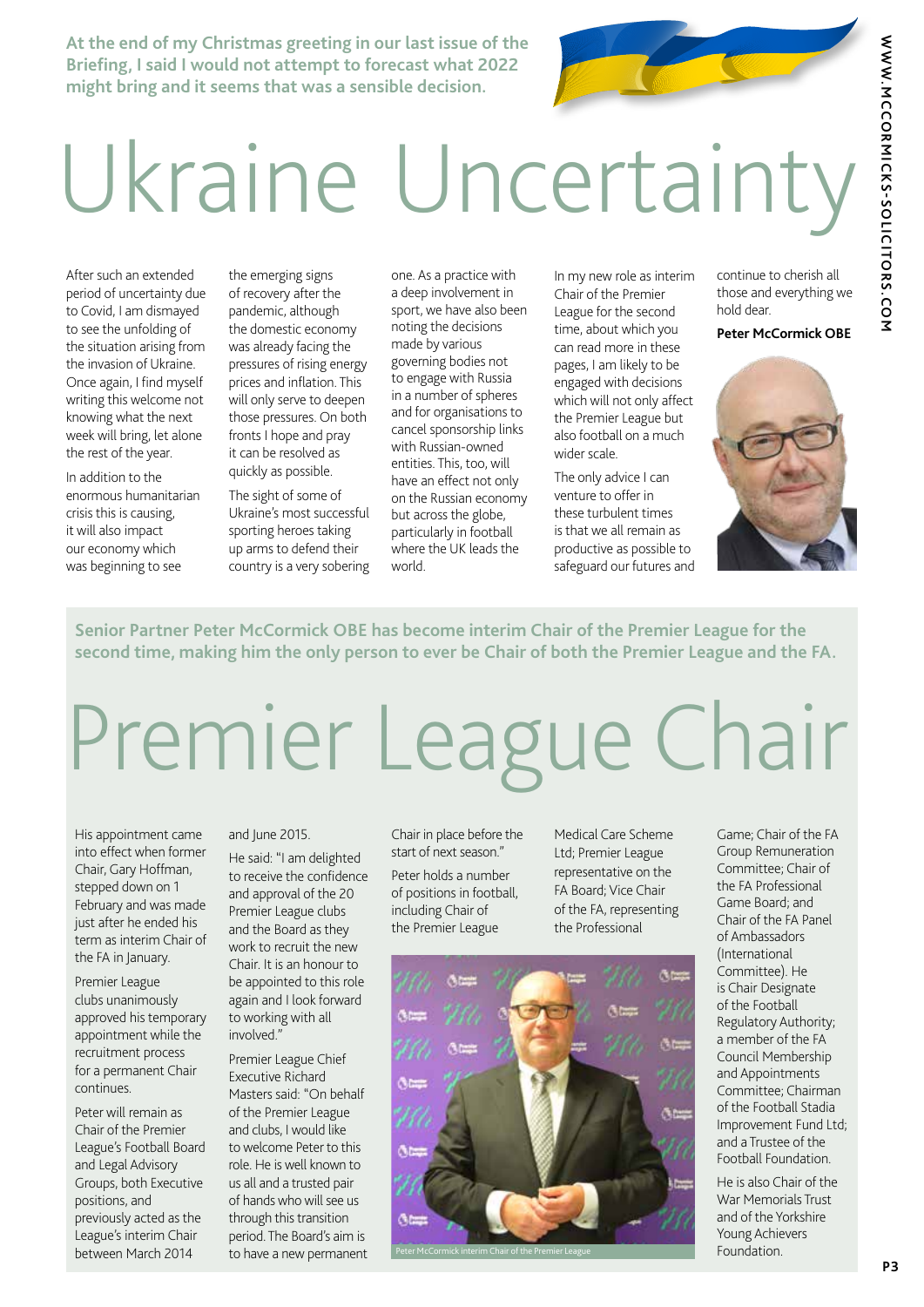WWW.MCCORMICKS-SOLICITORS.COM **WWW.MCCORMICKS-SOLICITORS.COM**

**At the end of my Christmas greeting in our last issue of the Briefing, I said I would not attempt to forecast what 2022 might bring and it seems that was a sensible decision.**

# Ukraine Uncertainty

After such an extended period of uncertainty due to Covid, I am dismayed to see the unfolding of the situation arising from the invasion of Ukraine. Once again, I find myself writing this welcome not knowing what the next week will bring, let alone the rest of the year.

In addition to the enormous humanitarian crisis this is causing, it will also impact our economy which was beginning to see

the emerging signs of recovery after the pandemic, although the domestic economy was already facing the pressures of rising energy prices and inflation. This will only serve to deepen those pressures. On both fronts I hope and pray it can be resolved as quickly as possible.

The sight of some of Ukraine's most successful sporting heroes taking up arms to defend their country is a very sobering one. As a practice with a deep involvement in sport, we have also been noting the decisions made by various governing bodies not to engage with Russia in a number of spheres and for organisations to cancel sponsorship links with Russian-owned entities. This, too, will have an effect not only on the Russian economy but across the globe, particularly in football where the UK leads the world.

In my new role as interim Chair of the Premier League for the second time, about which you can read more in these pages, I am likely to be engaged with decisions which will not only affect the Premier League but also football on a much wider scale.

The only advice I can venture to offer in these turbulent times is that we all remain as productive as possible to safeguard our futures and continue to cherish all those and everything we hold dear.

### **Peter McCormick OBE**



**Senior Partner Peter McCormick OBE has become interim Chair of the Premier League for the second time, making him the only person to ever be Chair of both the Premier League and the FA.**

# Premier League Chair

His appointment came into effect when former Chair, Gary Hoffman, stepped down on 1 February and was made just after he ended his term as interim Chair of the FA in January.

Premier League clubs unanimously approved his temporary appointment while the recruitment process for a permanent Chair continues.

Peter will remain as Chair of the Premier League's Football Board and Legal Advisory Groups, both Executive positions, and previously acted as the League's interim Chair between March 2014

### and June 2015.

He said: "I am delighted to receive the confidence and approval of the 20 Premier League clubs and the Board as they work to recruit the new Chair. It is an honour to be appointed to this role again and I look forward to working with all involved."

Premier League Chief Executive Richard Masters said: "On behalf of the Premier League and clubs, I would like to welcome Peter to this role. He is well known to us all and a trusted pair of hands who will see us through this transition period. The Board's aim is to have a new permanent Chair in place before the start of next season."

Peter holds a number of positions in football, including Chair of the Premier League

Medical Care Scheme Ltd; Premier League representative on the FA Board; Vice Chair of the FA, representing the Professional



Game; Chair of the FA Group Remuneration Committee; Chair of the FA Professional Game Board; and Chair of the FA Panel of Ambassadors (International Committee). He is Chair Designate of the Football Regulatory Authority; a member of the FA Council Membership and Appointments Committee; Chairman of the Football Stadia Improvement Fund Ltd; and a Trustee of the Football Foundation.

He is also Chair of the War Memorials Trust and of the Yorkshire Young Achievers Foundation.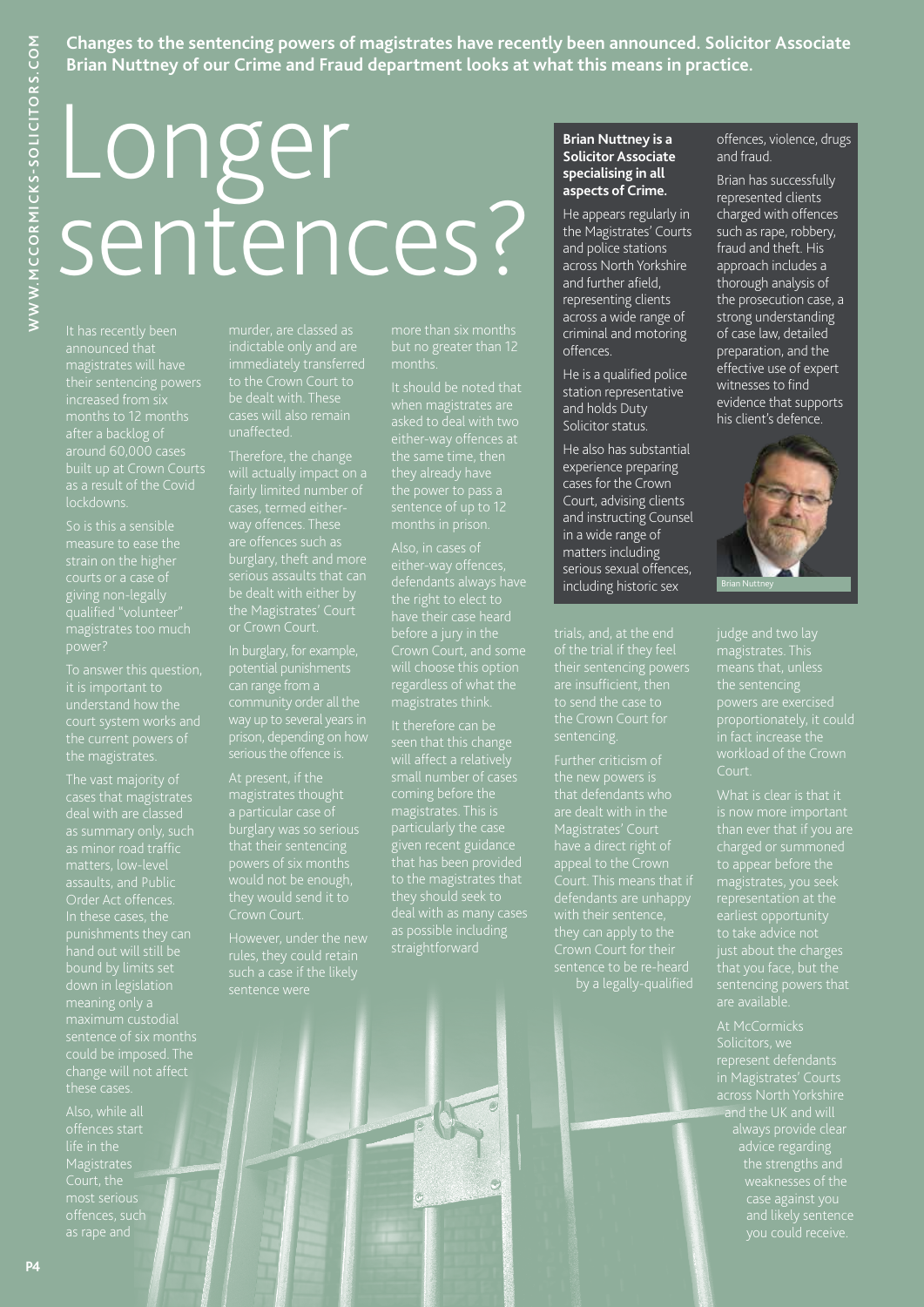### **Changes to the sentencing powers of magistrates have recently been announced. Solicitor Associate Brian Nuttney of our Crime and Fraud department looks at what this means in practice.**

# WWW.MCCORMICKS-SOLICITORS.COM **P4WWW.MCCORMICKS-SOLICITORS.COM**

# Longer sentences?

magistrates will have their sentencing powers lockdowns.

So is this a sensible measure to ease the strain on the higher giving non-legally

the magistrates.

cases that magistrates deal with are classed change will not affect

Also, while all offences start Magistrates Court, the as rape and

unaffected.

the Magistrates' Court

In burglary, for example, potential punishments prison, depending on how serious the offence is.

magistrates thought

However, under the new rules, they could retain sentence were

It should be noted that when magistrates are asked to deal with two

will choose this option magistrates think.

particularly the case given recent guidance to the magistrates that straightforward

### **Brian Nuttney is a Solicitor Associate specialising in all aspects of Crime.**

He appears regularly in the Magistrates' Courts and police stations across North Yorkshire and further afield, representing clients across a wide range of criminal and motoring offences.

He is a qualified police station representative and holds Duty Solicitor status.

He also has substantial experience preparing cases for the Crown Court, advising clients and instructing Counsel in a wide range of matters including serious sexual offences, including historic sex

trials, and, at the end their sentencing powers are insufficient, then to send the case to the Crown Court for sentencing.

Magistrates' Court have a direct right of defendants are unhappy they can apply to the by a legally-qualified offences, violence, drugs and fraud.

Brian has successfully represented clients charged with offences such as rape, robbery, fraud and theft. His approach includes a thorough analysis of the prosecution case, a strong understanding of case law, detailed preparation, and the effective use of expert witnesses to find evidence that supports his client's defence.



magistrates. This means that, unless the sentencing powers are exercised in fact increase the workload of the Crown Court.

charged or summoned magistrates, you see sentencing powers that

represent determined<br>in Magistrates' Courts and the UK and will the strengths and weaknesses of the case against you and likely sentence you could receive.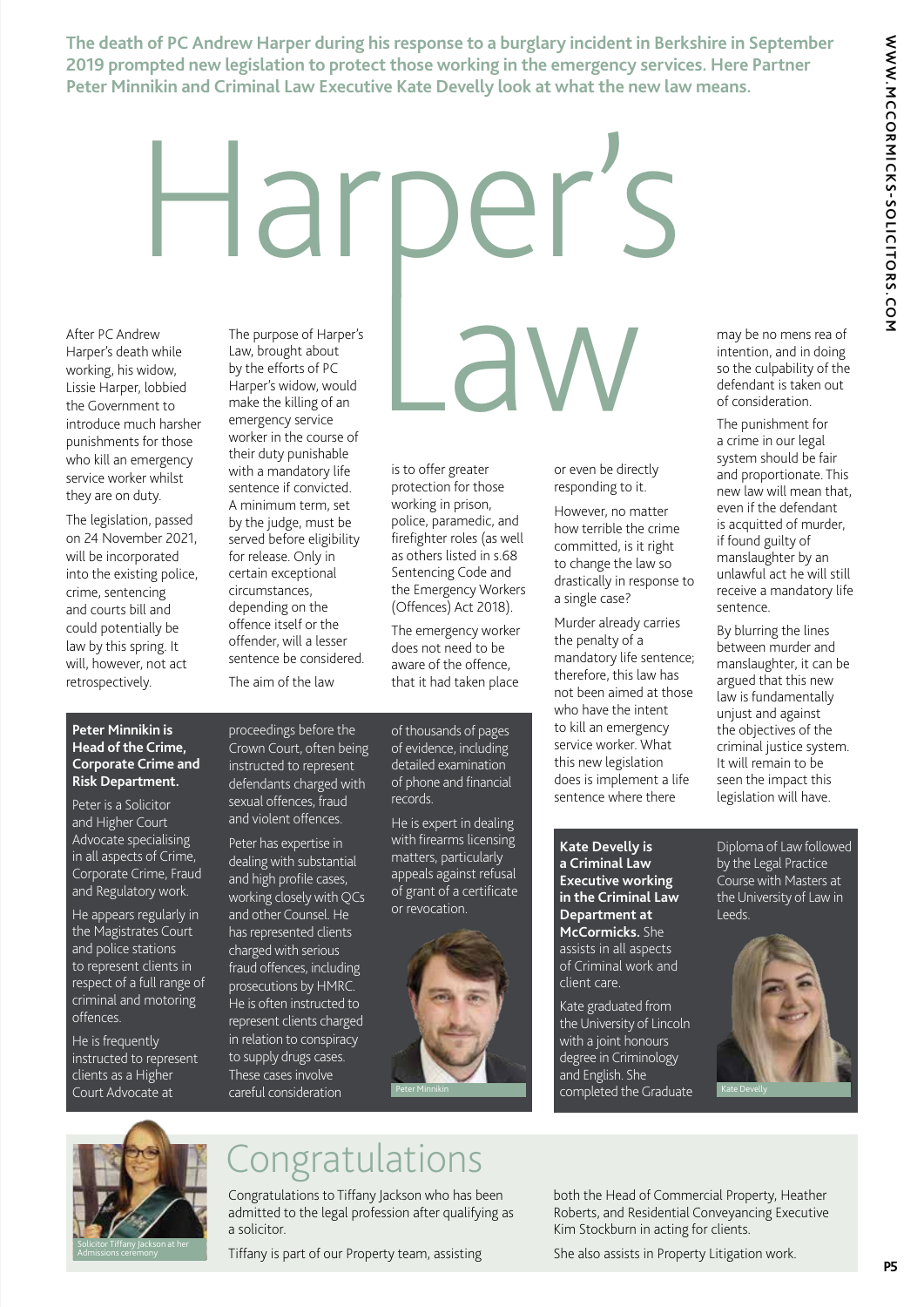**The death of PC Andrew Harper during his response to a burglary incident in Berkshire in September 2019 prompted new legislation to protect those working in the emergency services. Here Partner Peter Minnikin and Criminal Law Executive Kate Develly look at what the new law means.**

# Harper's

After PC Andrew Harper's death while working, his widow, Lissie Harper, lobbied the Government to introduce much harsher punishments for those who kill an emergency service worker whilst they are on duty.

The legislation, passed on 24 November 2021, will be incorporated into the existing police, crime, sentencing and courts bill and could potentially be law by this spring. It will, however, not act retrospectively.

The purpose of Harper's Law, brought about by the efforts of PC Harper's widow, would make the killing of an emergency service worker in the course of their duty punishable with a mandatory life sentence if convicted. A minimum term, set by the judge, must be served before eligibility for release. Only in certain exceptional circumstances, depending on the offence itself or the offender, will a lesser sentence be considered. The aim of the law

# The purpose of Harper's<br>
th while<br>
widow, by the efforts of PC<br>
Law, brought about<br>
widow, by the efforts of PC<br>
Harper's widow, would<br>
ent to make the killing of an<br>
uch harsher emergency service<br>
stor those worker in the

is to offer greater protection for those working in prison, police, paramedic, and firefighter roles (as well as others listed in s.68 Sentencing Code and the Emergency Workers (Offences) Act 2018).

The emergency worker does not need to be aware of the offence, that it had taken place

or even be directly responding to it.

However, no matter how terrible the crime committed, is it right to change the law so drastically in response to a single case?

Murder already carries the penalty of a mandatory life sentence; therefore, this law has not been aimed at those who have the intent to kill an emergency service worker. What this new legislation does is implement a life sentence where there

may be no mens rea of intention, and in doing so the culpability of the defendant is taken out of consideration.

The punishment for a crime in our legal system should be fair and proportionate. This new law will mean that, even if the defendant is acquitted of murder, if found guilty of manslaughter by an unlawful act he will still receive a mandatory life sentence.

By blurring the lines between murder and manslaughter, it can be argued that this new law is fundamentally unjust and against the objectives of the criminal justice system. It will remain to be seen the impact this legislation will have.

**Peter Minnikin is Head of the Crime, Corporate Crime and Risk Department.**

Peter is a Solicitor and Higher Court Advocate specialising in all aspects of Crime, Corporate Crime, Fraud and Regulatory work.

He appears regularly in the Magistrates Court and police stations to represent clients in respect of a full range of criminal and motoring offences.

He is frequently instructed to represent clients as a Higher Court Advocate at

proceedings before the Crown Court, often being instructed to represent defendants charged with sexual offences, fraud and violent offences.

Peter has expertise in dealing with substantial and high profile cases, working closely with QCs and other Counsel. He has represented clients charged with serious fraud offences, including prosecutions by HMRC. He is often instructed to represent clients charged in relation to conspiracy to supply drugs cases. These cases involve careful consideration

of thousands of pages of evidence, including detailed examination of phone and financial records.

He is expert in dealing with firearms licensing matters, particularly appeals against refusal of grant of a certificate or revocation.



**Kate Develly is a Criminal Law Executive working in the Criminal Law Department at McCormicks.** She assists in all aspects of Criminal work and client care.

Kate graduated from the University of Lincoln with a joint honours degree in Criminology and English. She

Diploma of Law followed by the Legal Practice Course with Masters at the University of Law in Leeds.





### **Congratulations**

Congratulations to Tiffany Jackson who has been admitted to the legal profession after qualifying as a solicitor.

Tiffany is part of our Property team, assisting

both the Head of Commercial Property, Heather Roberts, and Residential Conveyancing Executive Kim Stockburn in acting for clients.

She also assists in Property Litigation work.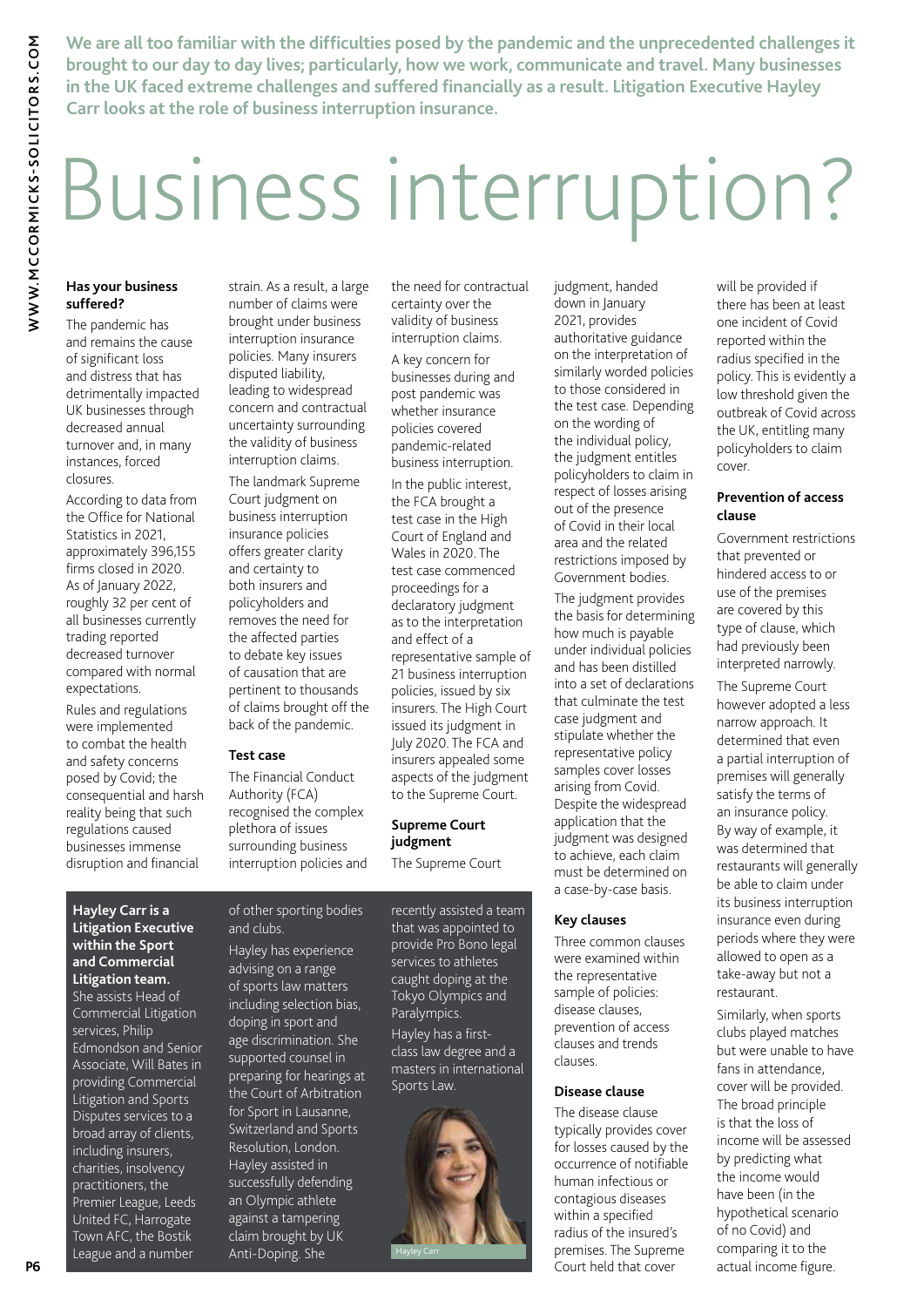**We are all too familiar with the difficulties posed by the pandemic and the unprecedented challenges it brought to our day to day lives; particularly, how we work, communicate and travel. Many businesses in the UK faced extreme challenges and suffered financially as a result. Litigation Executive Hayley Carr looks at the role of business interruption insurance.**

# Business interruption?

### **Has your business suffered?**

The pandemic has and remains the cause of significant loss and distress that has detrimentally impacted UK businesses through decreased annual turnover and, in many instances, forced closures

According to data from the Office for National Statistics in 2021, approximately 396,155 firms closed in 2020. As of January 2022, roughly 32 per cent of all businesses currently trading reported decreased turnover compared with normal expectations.

Rules and regulations were implemented to combat the health and safety concerns posed by Covid; the consequential and harsh reality being that such regulations caused businesses immense disruption and financial

strain. As a result, a large number of claims were brought under business interruption insurance policies. Many insurers disputed liability, leading to widespread concern and contractual uncertainty surrounding the validity of business interruption claims.

The landmark Supreme Court judgment on business interruption insurance policies offers greater clarity and certainty to both insurers and policyholders and removes the need for the affected parties to debate key issues of causation that are pertinent to thousands of claims brought off the back of the pandemic.

### **Test case**

The Financial Conduct Authority (FCA) recognised the complex plethora of issues surrounding business interruption policies and the need for contractual certainty over the validity of business interruption claims. A key concern for businesses during and post pandemic was whether insurance policies covered pandemic-related business interruption.

In the public interest, the FCA brought a test case in the High Court of England and Wales in 2020. The test case commenced proceedings for a declaratory judgment as to the interpretation and effect of a representative sample of 21 business interruption policies, issued by six insurers. The High Court issued its judgment in July 2020. The FCA and insurers appealed some aspects of the judgment to the Supreme Court.

### **Supreme Court judgment**

The Supreme Court recently assisted a team that was appointed to provide Pro Bono legal services to athletes

Tokyo Olympics and Paralympics. Hayley has a firstclass law degree and a masters in international Sports Law.

caught doping at the



judgment, handed down in January 2021, provides authoritative guidance on the interpretation of similarly worded policies to those considered in the test case. Depending on the wording of the individual policy, the judgment entitles policyholders to claim in respect of losses arising out of the presence of Covid in their local area and the related restrictions imposed by Government bodies.

The judgment provides the basis for determining how much is payable under individual policies and has been distilled into a set of declarations that culminate the test case judgment and stipulate whether the representative policy samples cover losses arising from Covid. Despite the widespread application that the judgment was designed to achieve, each claim must be determined on a case-by-case basis.

### **Key clauses**

Three common clauses were examined within the representative sample of policies: disease clauses, prevention of access clauses and trends clauses.

### **Disease clause**

The disease clause typically provides cover for losses caused by the occurrence of notifiable human infectious or contagious diseases within a specified radius of the insured's premises. The Supreme Court held that cover

will be provided if there has been at least one incident of Covid reported within the radius specified in the policy. This is evidently a low threshold given the outbreak of Covid across the UK, entitling many policyholders to claim cover.

### **Prevention of access clause**

Government restrictions that prevented or hindered access to or use of the premises are covered by this type of clause, which had previously been interpreted narrowly.

The Supreme Court however adopted a less narrow approach. It determined that even a partial interruption of premises will generally satisfy the terms of an insurance policy. By way of example, it was determined that restaurants will generally be able to claim under its business interruption insurance even during periods where they were allowed to open as a take-away but not a restaurant.

Similarly, when sports clubs played matches but were unable to have fans in attendance, cover will be provided. The broad principle is that the loss of income will be assessed by predicting what the income would have been (in the hypothetical scenario of no Covid) and comparing it to the actual income figure.

### **Hayley Carr is a Litigation Executive within the Sport and Commercial Litigation team.**

She assists Head of Commercial Litigation services, Philip Edmondson and Senior Associate, Will Bates in providing Commercial Litigation and Sports Disputes services to a broad array of clients, including insurers, charities, insolvency practitioners, the Premier League, Leeds United FC, Harrogate Town AFC, the Bostik League and a number

of other sporting bodies and clubs.

> Hayley has experience advising on a range of sports law matters including selection bias, doping in sport and age discrimination. She supported counsel in preparing for hearings at the Court of Arbitration for Sport in Lausanne, Switzerland and Sports Resolution, London. Hayley assisted in successfully defending an Olympic athlete against a tampering claim brought by UK Anti-Doping. She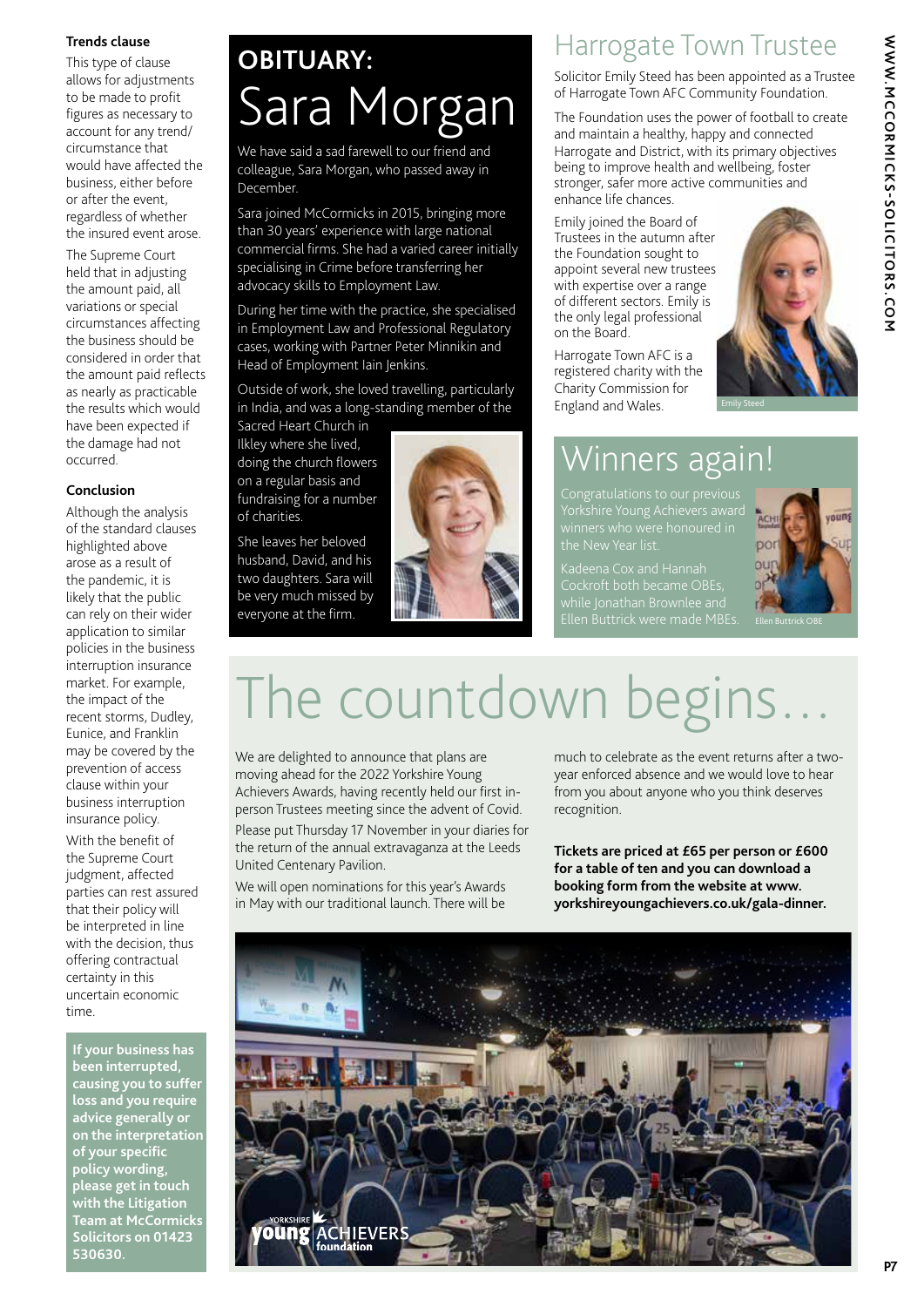### **Trends clause**

This type of clause allows for adjustments to be made to profit figures as necessary to account for any trend/ circumstance that would have affected the business, either before or after the event, regardless of whether the insured event arose.

The Supreme Court held that in adjusting the amount paid, all variations or special circumstances affecting the business should be considered in order that the amount paid reflects as nearly as practicable the results which would have been expected if the damage had not occurred.

### **Conclusion**

Although the analysis of the standard clauses highlighted above arose as a result of the pandemic, it is likely that the public can rely on their wider application to similar policies in the business interruption insurance market. For example, the impact of the recent storms, Dudley, Eunice, and Franklin may be covered by the prevention of access clause within your business interruption insurance policy.

With the benefit of the Supreme Court judgment, affected parties can rest assured that their policy will be interpreted in line with the decision, thus offering contractual certainty in this uncertain economic time.

**If your business has been interrupted, causing you to suffer loss and you require advice generally or on the interpretation of your specific policy wording, please get in touch with the Litigation Team at McCormicks Solicitors on 01423 530630.**

### **OBITUARY:**  Sara Morgan

We have said a sad farewell to our friend and colleague, Sara Morgan, who passed away in December.

Sara joined McCormicks in 2015, bringing more than 30 years' experience with large national commercial firms. She had a varied career initially specialising in Crime before transferring her advocacy skills to Employment Law.

During her time with the practice, she specialised in Employment Law and Professional Regulatory cases, working with Partner Peter Minnikin and Head of Employment Iain Jenkins.

Outside of work, she loved travelling, particularly in India, and was a long-standing member of the Sacred Heart Church in

Ilkley where she lived, doing the church flowers on a regular basis and fundraising for a number of charities.

She leaves her beloved husband, David, and his two daughters. Sara will be very much missed by everyone at the firm.



### Harrogate Town Trustee

Solicitor Emily Steed has been appointed as a Trustee of Harrogate Town AFC Community Foundation.

The Foundation uses the power of football to create and maintain a healthy, happy and connected Harrogate and District, with its primary objectives being to improve health and wellbeing, foster stronger, safer more active communities and enhance life chances.

Emily joined the Board of Trustees in the autumn after the Foundation sought to appoint several new trustees with expertise over a range of different sectors. Emily is the only legal professional on the Board.

Harrogate Town AFC is a registered charity with the Charity Commission for England and Wales.



### Winners again!

Ellen Buttrick were made MBEs.



## The countdown begins

We are delighted to announce that plans are moving ahead for the 2022 Yorkshire Young Achievers Awards, having recently held our first inperson Trustees meeting since the advent of Covid.

Please put Thursday 17 November in your diaries for the return of the annual extravaganza at the Leeds United Centenary Pavilion.

We will open nominations for this year's Awards in May with our traditional launch. There will be

much to celebrate as the event returns after a twoyear enforced absence and we would love to hear from you about anyone who you think deserves recognition.

**Tickets are priced at £65 per person or £600 for a table of ten and you can download a booking form from the website at www. yorkshireyoungachievers.co.uk/gala-dinner.**

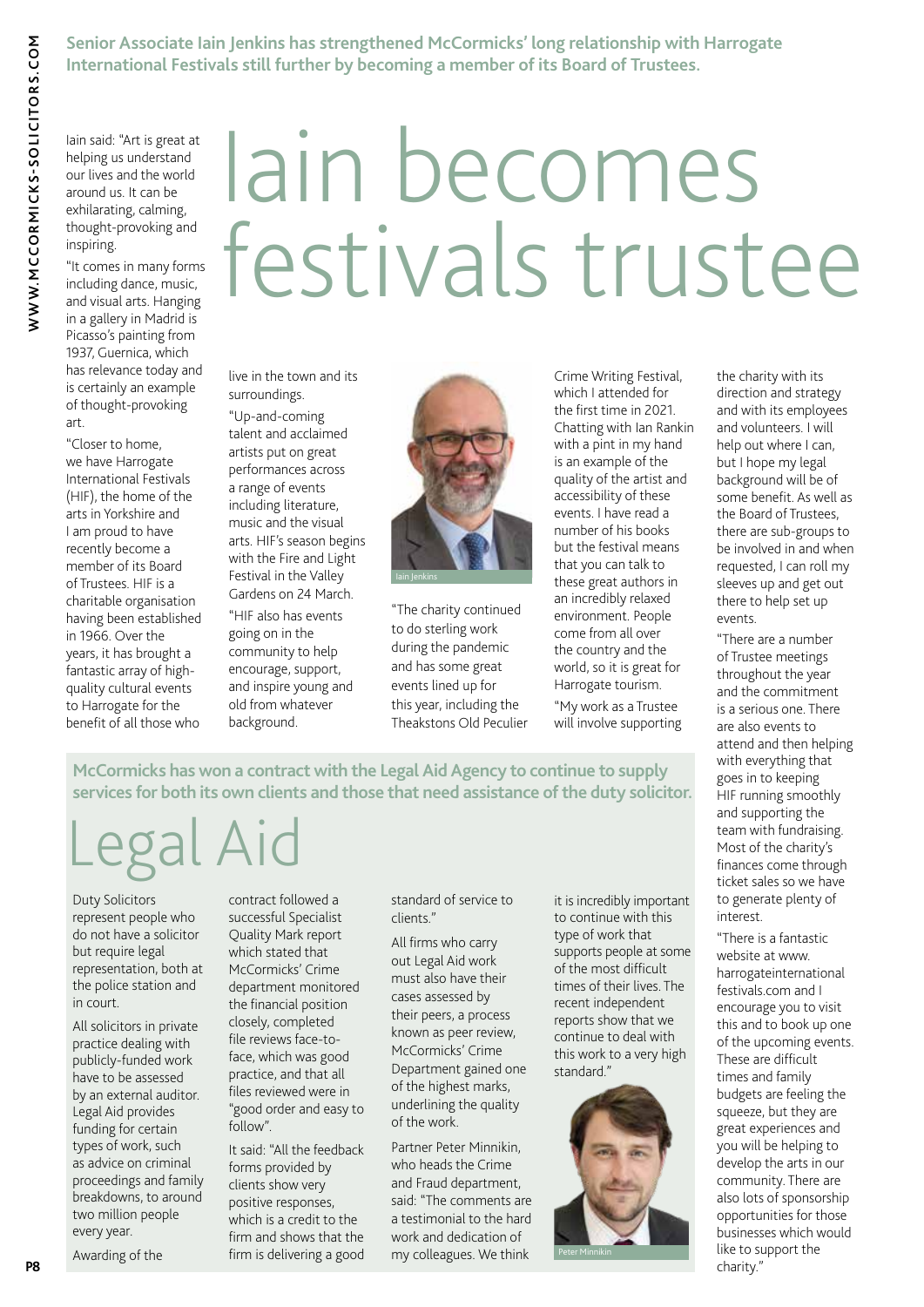**Senior Associate Iain Jenkins has strengthened McCormicks' long relationship with Harrogate International Festivals still further by becoming a member of its Board of Trustees.**

Iain said: "Art is great at helping us understand our lives and the world around us. It can be exhilarating, calming, thought-provoking and inspiring.

### "It comes in many forms including dance, music, and visual arts. Hanging in a gallery in Madrid is Picasso's painting from 1937, Guernica, which has relevance today and is certainly an example of thought-provoking art.

"Closer to home, we have Harrogate International Festivals (HIF), the home of the arts in Yorkshire and I am proud to have recently become a member of its Board of Trustees. HIF is a charitable organisation having been established in 1966. Over the years, it has brought a fantastic array of highquality cultural events to Harrogate for the benefit of all those who

# Iain becomes festivals trustee

live in the town and its surroundings.

"Up-and-coming talent and acclaimed artists put on great performances across a range of events including literature, music and the visual arts. HIF's season begins with the Fire and Light Festival in the Valley Gardens on 24 March.

"HIF also has events going on in the community to help encourage, support, and inspire young and old from whatever background.



"The charity continued to do sterling work during the pandemic and has some great events lined up for this year, including the Theakstons Old Peculier Crime Writing Festival, which I attended for the first time in 2021. Chatting with Ian Rankin with a pint in my hand is an example of the quality of the artist and accessibility of these events. I have read a number of his books but the festival means that you can talk to these great authors in an incredibly relaxed environment. People come from all over the country and the world, so it is great for Harrogate tourism.

"My work as a Trustee will involve supporting

the charity with its direction and strategy and with its employees and volunteers. I will help out where I can, but I hope my legal background will be of some benefit. As well as the Board of Trustees, there are sub-groups to be involved in and when requested, I can roll my sleeves up and get out there to help set up events.

"There are a number of Trustee meetings throughout the year and the commitment is a serious one. There are also events to attend and then helping with everything that goes in to keeping HIF running smoothly and supporting the team with fundraising. Most of the charity's finances come through ticket sales so we have to generate plenty of interest.

"There is a fantastic website at www. harrogateinternational festivals.com and I encourage you to visit this and to book up one of the upcoming events. These are difficult times and family budgets are feeling the squeeze, but they are great experiences and you will be helping to develop the arts in our community. There are also lots of sponsorship opportunities for those businesses which would like to support the charity."

**McCormicks has won a contract with the Legal Aid Agency to continue to supply services for both its own clients and those that need assistance of the duty solicitor.**

# Legal Aid

Duty Solicitors represent people who do not have a solicitor but require legal representation, both at the police station and in court.

All solicitors in private practice dealing with publicly-funded work have to be assessed by an external auditor. Legal Aid provides funding for certain types of work, such as advice on criminal proceedings and family breakdowns, to around two million people every year.

Awarding of the

contract followed a successful Specialist Quality Mark report which stated that McCormicks' Crime department monitored the financial position closely, completed file reviews face-toface, which was good practice, and that all files reviewed were in "good order and easy to follow".

It said: "All the feedback forms provided by clients show very positive responses, which is a credit to the firm and shows that the firm is delivering a good standard of service to clients."

All firms who carry out Legal Aid work must also have their cases assessed by their peers, a process known as peer review, McCormicks' Crime Department gained one of the highest marks, underlining the quality of the work.

Partner Peter Minnikin, who heads the Crime and Fraud department, said: "The comments are a testimonial to the hard work and dedication of my colleagues. We think

it is incredibly important to continue with this type of work that supports people at some of the most difficult times of their lives. The recent independent reports show that we continue to deal with this work to a very high standard."